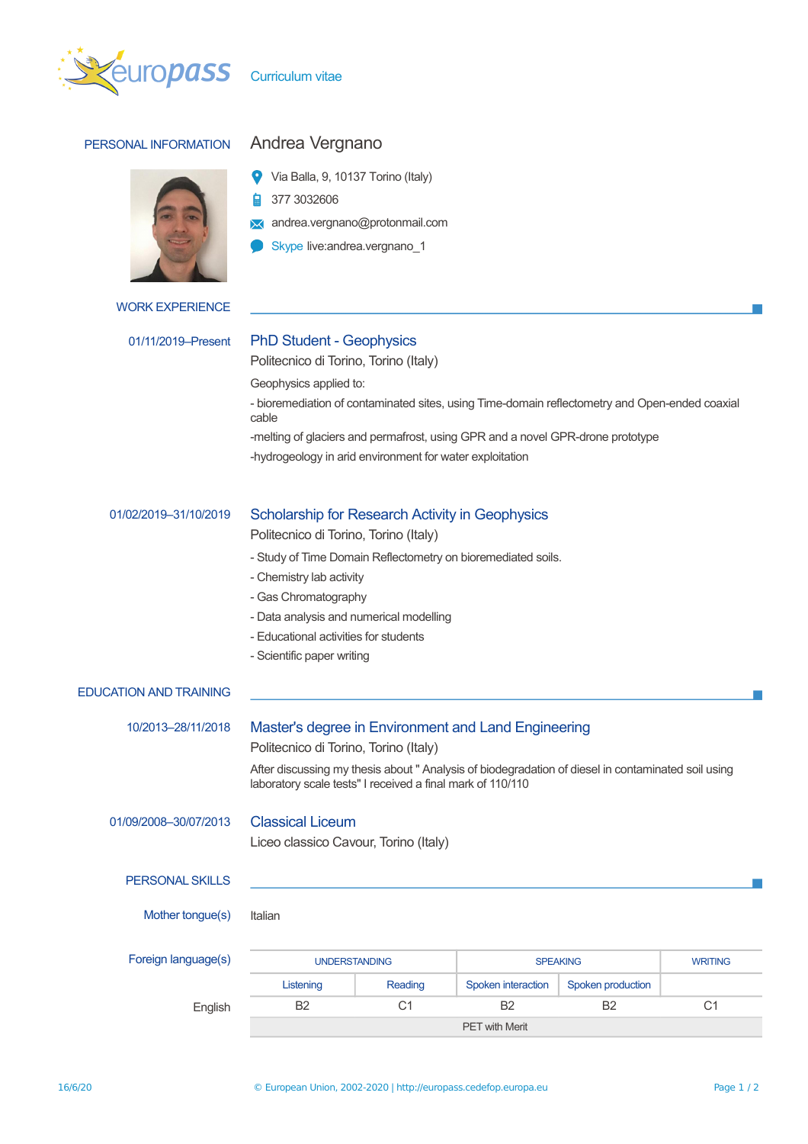

# PERSONAL INFORMATION Andrea Vergnano

- Via Balla, 9, 10137 Torino (Italy)
- 377 3032606
- **X** andrea.vergnano@protonmail.com
- Skype live:andrea.vergnano\_1

### WORK EXPERIENCE

# 01/11/2019–Present PhD Student - Geophysics

Politecnico di Torino, Torino (Italy)

Geophysics applied to:

- bioremediation of contaminated sites, using Time-domain reflectometry and Open-ended coaxial cable

-melting of glaciers and permafrost, using GPR and a novel GPR-drone prototype

-hydrogeology in arid environment for water exploitation

## 01/02/2019–31/10/2019 Scholarship for Research Activity in Geophysics

Politecnico di Torino, Torino (Italy)

- Study of Time Domain Reflectometry on bioremediated soils.
- Chemistry lab activity
- Gas Chromatography
- Data analysis and numerical modelling
- Educational activities for students
- Scientific paper writing

# EDUCATION AND TRAINING

# 10/2013–28/11/2018 Master's degree in Environment and Land Engineering Politecnico di Torino, Torino (Italy) After discussing my thesis about " Analysis of biodegradation of diesel in contaminated soil using laboratory scale tests" I received a final mark of 110/110 01/09/2008–30/07/2013 Classical Liceum Liceo classico Cavour, Torino (Italy) PERSONAL SKILLS Mother tonque(s) Italian Foreign language(s) The UNDERSTANDING SPEAKING SPEAKING WRITING Listening Reading Spoken interaction Spoken production English B2 C1 B2 B2 C1

PET with Merit